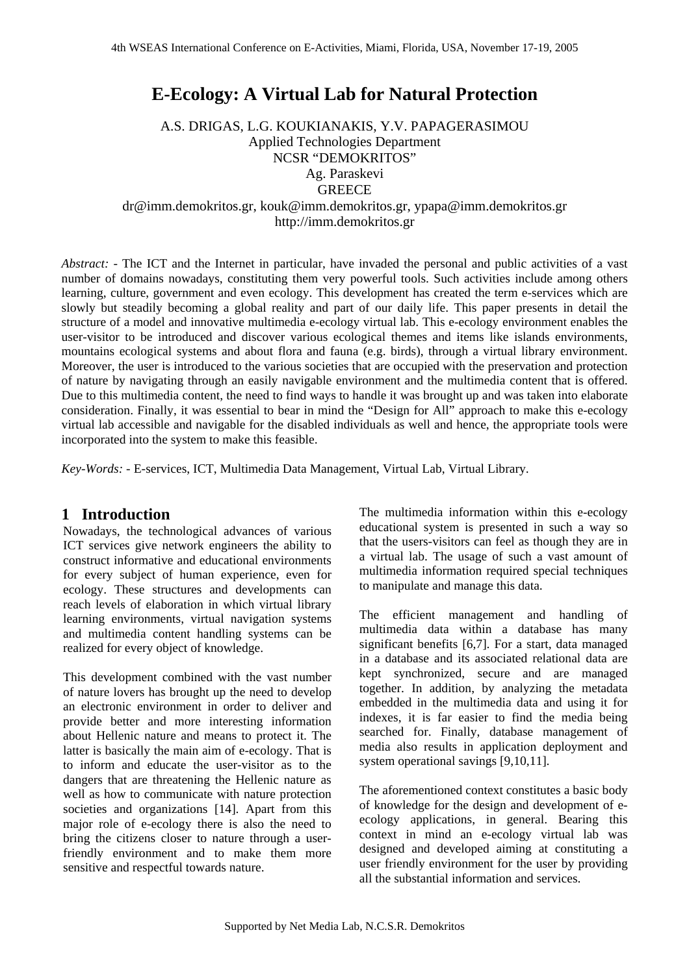# **E-Ecology: A Virtual Lab for Natural Protection**

A.S. DRIGAS, L.G. KOUKIANAKIS, Y.V. PAPAGERASIMOU Applied Technologies Department NCSR "DEMOKRITOS" Ag. Paraskevi **GREECE** 

dr@imm.demokritos.gr, kouk@imm.demokritos.gr, ypapa@imm.demokritos.gr http://imm.demokritos.gr

*Abstract:* - The ICT and the Internet in particular, have invaded the personal and public activities of a vast number of domains nowadays, constituting them very powerful tools. Such activities include among others learning, culture, government and even ecology. This development has created the term e-services which are slowly but steadily becoming a global reality and part of our daily life. This paper presents in detail the structure of a model and innovative multimedia e-ecology virtual lab. This e-ecology environment enables the user-visitor to be introduced and discover various ecological themes and items like islands environments, mountains ecological systems and about flora and fauna (e.g. birds), through a virtual library environment. Moreover, the user is introduced to the various societies that are occupied with the preservation and protection of nature by navigating through an easily navigable environment and the multimedia content that is offered. Due to this multimedia content, the need to find ways to handle it was brought up and was taken into elaborate consideration. Finally, it was essential to bear in mind the "Design for All" approach to make this e-ecology virtual lab accessible and navigable for the disabled individuals as well and hence, the appropriate tools were incorporated into the system to make this feasible.

*Key-Words: -* E-services, ICT, Multimedia Data Management, Virtual Lab, Virtual Library.

### **1 Introduction**

Nowadays, the technological advances of various ICT services give network engineers the ability to construct informative and educational environments for every subject of human experience, even for ecology. These structures and developments can reach levels of elaboration in which virtual library learning environments, virtual navigation systems and multimedia content handling systems can be realized for every object of knowledge.

This development combined with the vast number of nature lovers has brought up the need to develop an electronic environment in order to deliver and provide better and more interesting information about Hellenic nature and means to protect it. The latter is basically the main aim of e-ecology. That is to inform and educate the user-visitor as to the dangers that are threatening the Hellenic nature as well as how to communicate with nature protection societies and organizations [14]. Apart from this major role of e-ecology there is also the need to bring the citizens closer to nature through a userfriendly environment and to make them more sensitive and respectful towards nature.

The multimedia information within this e-ecology educational system is presented in such a way so that the users-visitors can feel as though they are in a virtual lab. The usage of such a vast amount of multimedia information required special techniques to manipulate and manage this data.

The efficient management and handling of multimedia data within a database has many significant benefits [6,7]. For a start, data managed in a database and its associated relational data are kept synchronized, secure and are managed together. In addition, by analyzing the metadata embedded in the multimedia data and using it for indexes, it is far easier to find the media being searched for. Finally, database management of media also results in application deployment and system operational savings [9,10,11].

The aforementioned context constitutes a basic body of knowledge for the design and development of eecology applications, in general. Bearing this context in mind an e-ecology virtual lab was designed and developed aiming at constituting a user friendly environment for the user by providing all the substantial information and services.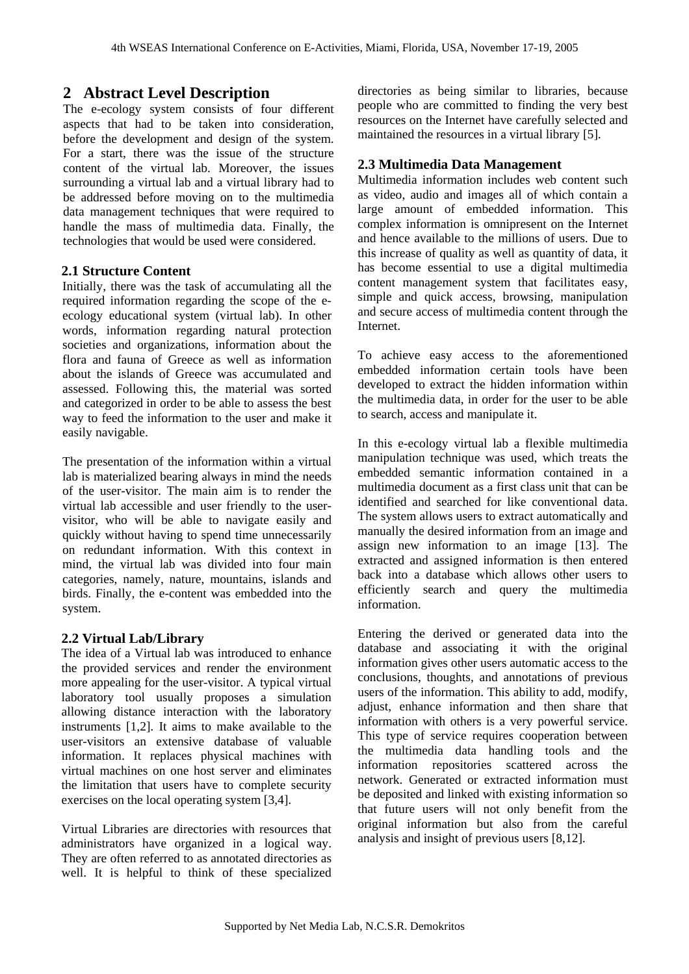# **2 Abstract Level Description**

The e-ecology system consists of four different aspects that had to be taken into consideration, before the development and design of the system. For a start, there was the issue of the structure content of the virtual lab. Moreover, the issues surrounding a virtual lab and a virtual library had to be addressed before moving on to the multimedia data management techniques that were required to handle the mass of multimedia data. Finally, the technologies that would be used were considered.

### **2.1 Structure Content**

Initially, there was the task of accumulating all the required information regarding the scope of the eecology educational system (virtual lab). In other words, information regarding natural protection societies and organizations, information about the flora and fauna of Greece as well as information about the islands of Greece was accumulated and assessed. Following this, the material was sorted and categorized in order to be able to assess the best way to feed the information to the user and make it easily navigable.

The presentation of the information within a virtual lab is materialized bearing always in mind the needs of the user-visitor. The main aim is to render the virtual lab accessible and user friendly to the uservisitor, who will be able to navigate easily and quickly without having to spend time unnecessarily on redundant information. With this context in mind, the virtual lab was divided into four main categories, namely, nature, mountains, islands and birds. Finally, the e-content was embedded into the system.

### **2.2 Virtual Lab/Library**

The idea of a Virtual lab was introduced to enhance the provided services and render the environment more appealing for the user-visitor. A typical virtual laboratory tool usually proposes a simulation allowing distance interaction with the laboratory instruments [1,2]. It aims to make available to the user-visitors an extensive database of valuable information. It replaces physical machines with virtual machines on one host server and eliminates the limitation that users have to complete security exercises on the local operating system [3,4].

Virtual Libraries are directories with resources that administrators have organized in a logical way. They are often referred to as annotated directories as well. It is helpful to think of these specialized

directories as being similar to libraries, because people who are committed to finding the very best resources on the Internet have carefully selected and maintained the resources in a virtual library [5].

### **2.3 Multimedia Data Management**

Multimedia information includes web content such as video, audio and images all of which contain a large amount of embedded information. This complex information is omnipresent on the Internet and hence available to the millions of users. Due to this increase of quality as well as quantity of data, it has become essential to use a digital multimedia content management system that facilitates easy, simple and quick access, browsing, manipulation and secure access of multimedia content through the Internet.

To achieve easy access to the aforementioned embedded information certain tools have been developed to extract the hidden information within the multimedia data, in order for the user to be able to search, access and manipulate it.

In this e-ecology virtual lab a flexible multimedia manipulation technique was used, which treats the embedded semantic information contained in a multimedia document as a first class unit that can be identified and searched for like conventional data. The system allows users to extract automatically and manually the desired information from an image and assign new information to an image [13]. The extracted and assigned information is then entered back into a database which allows other users to efficiently search and query the multimedia information.

Entering the derived or generated data into the database and associating it with the original information gives other users automatic access to the conclusions, thoughts, and annotations of previous users of the information. This ability to add, modify, adjust, enhance information and then share that information with others is a very powerful service. This type of service requires cooperation between the multimedia data handling tools and the information repositories scattered across the network. Generated or extracted information must be deposited and linked with existing information so that future users will not only benefit from the original information but also from the careful analysis and insight of previous users [8,12].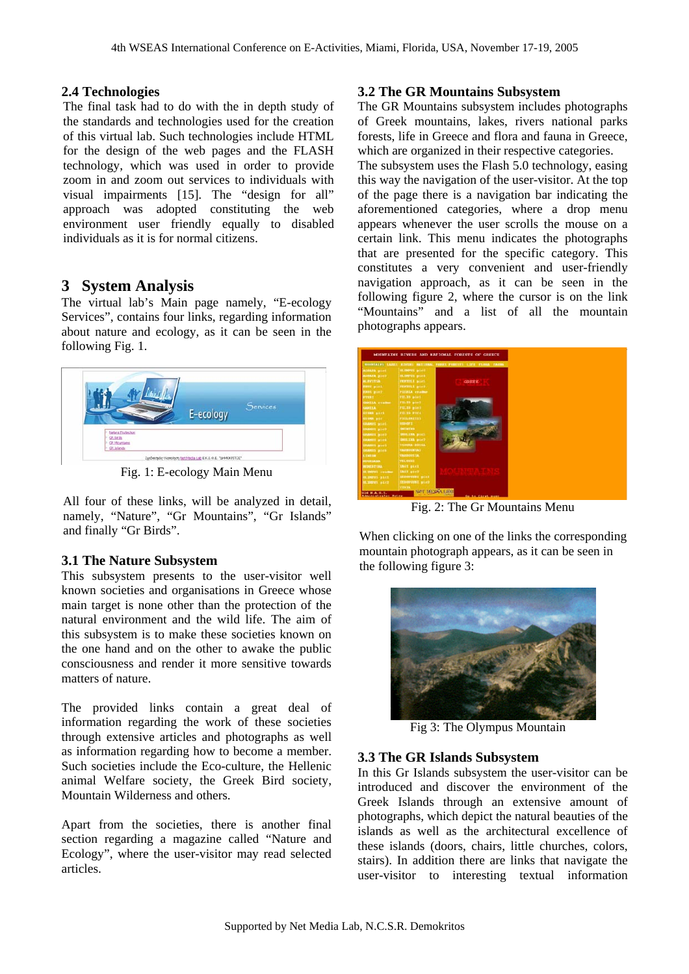### **2.4 Technologies**

The final task had to do with the in depth study of the standards and technologies used for the creation of this virtual lab. Such technologies include HTML for the design of the web pages and the FLASH technology, which was used in order to provide zoom in and zoom out services to individuals with visual impairments [15]. The "design for all" approach was adopted constituting the web environment user friendly equally to disabled individuals as it is for normal citizens.

## **3 System Analysis**

The virtual lab's Main page namely, "E-ecology Services", contains four links, regarding information about nature and ecology, as it can be seen in the following Fig. 1.



Fig. 1: E-ecology Main Menu

All four of these links, will be analyzed in detail, namely, "Nature", "Gr Mountains", "Gr Islands" and finally "Gr Birds".

### **3.1 The Nature Subsystem**

This subsystem presents to the user-visitor well known societies and organisations in Greece whose main target is none other than the protection of the natural environment and the wild life. The aim of this subsystem is to make these societies known on the one hand and on the other to awake the public consciousness and render it more sensitive towards matters of nature.

The provided links contain a great deal of information regarding the work of these societies through extensive articles and photographs as well as information regarding how to become a member. Such societies include the Eco-culture, the Hellenic animal Welfare society, the Greek Bird society, Mountain Wilderness and others.

Apart from the societies, there is another final section regarding a magazine called "Nature and Ecology", where the user-visitor may read selected articles.

### **3.2 The GR Mountains Subsystem**

The GR Mountains subsystem includes photographs of Greek mountains, lakes, rivers national parks forests, life in Greece and flora and fauna in Greece, which are organized in their respective categories.

The subsystem uses the Flash 5.0 technology, easing this way the navigation of the user-visitor. At the top of the page there is a navigation bar indicating the aforementioned categories, where a drop menu appears whenever the user scrolls the mouse on a certain link. This menu indicates the photographs that are presented for the specific category. This constitutes a very convenient and user-friendly navigation approach, as it can be seen in the following figure 2, where the cursor is on the link "Mountains" and a list of all the mountain photographs appears.



Fig. 2: The Gr Mountains Menu

When clicking on one of the links the corresponding mountain photograph appears, as it can be seen in the following figure 3:



Fig 3: The Olympus Mountain

### **3.3 The GR Islands Subsystem**

In this Gr Islands subsystem the user-visitor can be introduced and discover the environment of the Greek Islands through an extensive amount of photographs, which depict the natural beauties of the islands as well as the architectural excellence of these islands (doors, chairs, little churches, colors, stairs). In addition there are links that navigate the user-visitor to interesting textual information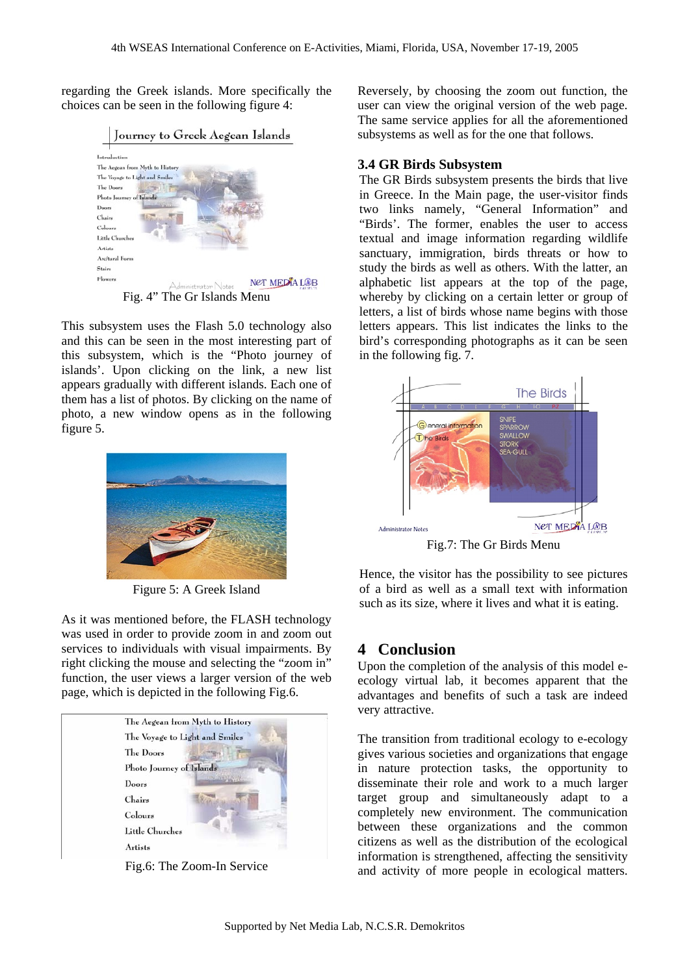regarding the Greek islands. More specifically the choices can be seen in the following figure 4:



This subsystem uses the Flash 5.0 technology also and this can be seen in the most interesting part of this subsystem, which is the "Photo journey of islands'. Upon clicking on the link, a new list appears gradually with different islands. Each one of them has a list of photos. By clicking on the name of photo, a new window opens as in the following figure 5.



Figure 5: A Greek Island

As it was mentioned before, the FLASH technology was used in order to provide zoom in and zoom out services to individuals with visual impairments. By right clicking the mouse and selecting the "zoom in" function, the user views a larger version of the web page, which is depicted in the following Fig.6.



Fig.6: The Zoom-In Service

Reversely, by choosing the zoom out function, the user can view the original version of the web page. The same service applies for all the aforementioned subsystems as well as for the one that follows.

#### **3.4 GR Birds Subsystem**

The GR Birds subsystem presents the birds that live in Greece. In the Main page, the user-visitor finds two links namely, "General Information" and "Birds'. The former, enables the user to access textual and image information regarding wildlife sanctuary, immigration, birds threats or how to study the birds as well as others. With the latter, an alphabetic list appears at the top of the page, whereby by clicking on a certain letter or group of letters, a list of birds whose name begins with those letters appears. This list indicates the links to the bird's corresponding photographs as it can be seen in the following fig. 7.



Hence, the visitor has the possibility to see pictures of a bird as well as a small text with information such as its size, where it lives and what it is eating.

### **4 Conclusion**

Upon the completion of the analysis of this model eecology virtual lab, it becomes apparent that the advantages and benefits of such a task are indeed very attractive.

The transition from traditional ecology to e-ecology gives various societies and organizations that engage in nature protection tasks, the opportunity to disseminate their role and work to a much larger target group and simultaneously adapt to a completely new environment. The communication between these organizations and the common citizens as well as the distribution of the ecological information is strengthened, affecting the sensitivity and activity of more people in ecological matters.